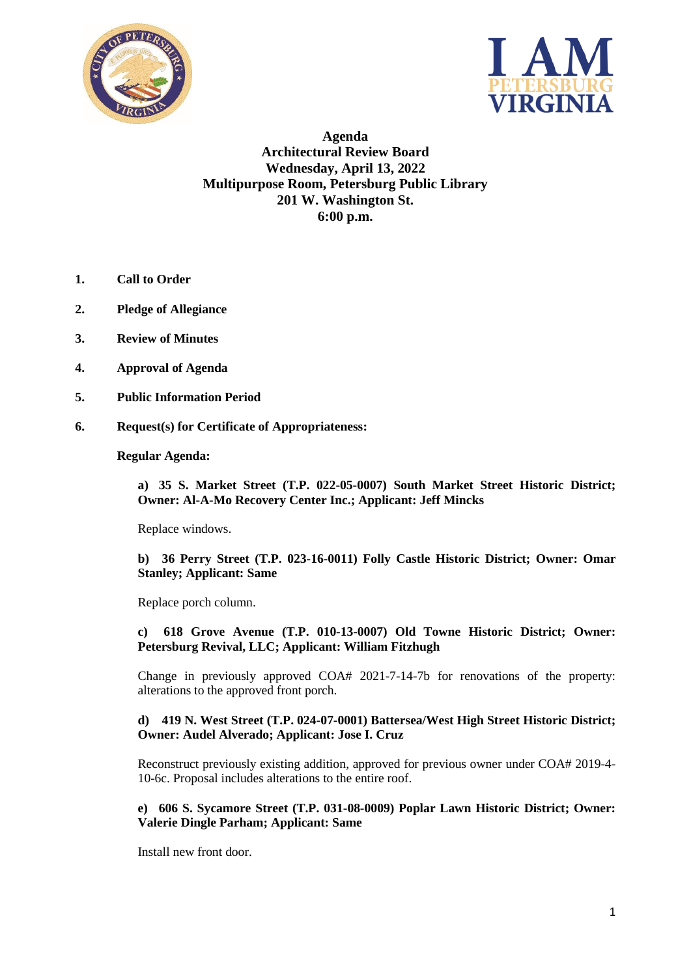



**Agenda Architectural Review Board Wednesday, April 13, 2022 Multipurpose Room, Petersburg Public Library 201 W. Washington St. 6:00 p.m.**

- **1. Call to Order**
- **2. Pledge of Allegiance**
- **3. Review of Minutes**
- **4. Approval of Agenda**
- **5. Public Information Period**
- **6. Request(s) for Certificate of Appropriateness:**

### **Regular Agenda:**

**a) 35 S. Market Street (T.P. 022-05-0007) South Market Street Historic District; Owner: Al-A-Mo Recovery Center Inc.; Applicant: Jeff Mincks**

Replace windows.

**b) 36 Perry Street (T.P. 023-16-0011) Folly Castle Historic District; Owner: Omar Stanley; Applicant: Same**

Replace porch column.

**c) 618 Grove Avenue (T.P. 010-13-0007) Old Towne Historic District; Owner: Petersburg Revival, LLC; Applicant: William Fitzhugh**

Change in previously approved COA# 2021-7-14-7b for renovations of the property: alterations to the approved front porch.

### **d) 419 N. West Street (T.P. 024-07-0001) Battersea/West High Street Historic District; Owner: Audel Alverado; Applicant: Jose I. Cruz**

Reconstruct previously existing addition, approved for previous owner under COA# 2019-4- 10-6c. Proposal includes alterations to the entire roof.

**e) 606 S. Sycamore Street (T.P. 031-08-0009) Poplar Lawn Historic District; Owner: Valerie Dingle Parham; Applicant: Same**

Install new front door.